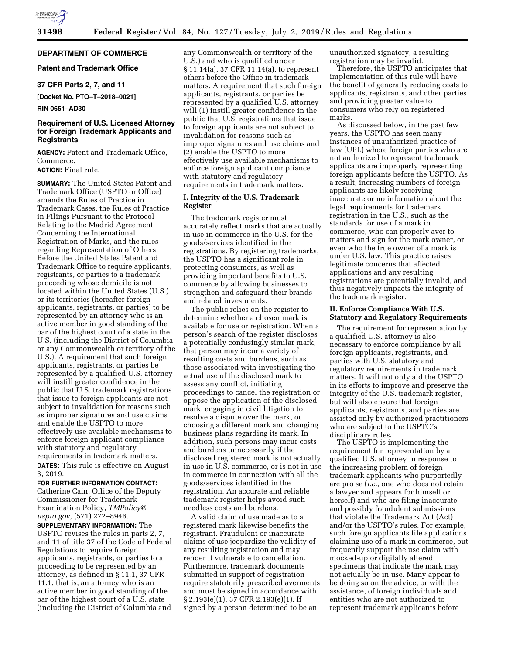

#### **DEPARTMENT OF COMMERCE**

### **Patent and Trademark Office**

## **37 CFR Parts 2, 7, and 11**

**[Docket No. PTO–T–2018–0021]** 

## **RIN 0651–AD30**

## **Requirement of U.S. Licensed Attorney for Foreign Trademark Applicants and Registrants**

**AGENCY:** Patent and Trademark Office, Commerce.

# **ACTION:** Final rule.

**SUMMARY:** The United States Patent and Trademark Office (USPTO or Office) amends the Rules of Practice in Trademark Cases, the Rules of Practice in Filings Pursuant to the Protocol Relating to the Madrid Agreement Concerning the International Registration of Marks, and the rules regarding Representation of Others Before the United States Patent and Trademark Office to require applicants, registrants, or parties to a trademark proceeding whose domicile is not located within the United States (U.S.) or its territories (hereafter foreign applicants, registrants, or parties) to be represented by an attorney who is an active member in good standing of the bar of the highest court of a state in the U.S. (including the District of Columbia or any Commonwealth or territory of the U.S.). A requirement that such foreign applicants, registrants, or parties be represented by a qualified U.S. attorney will instill greater confidence in the public that U.S. trademark registrations that issue to foreign applicants are not subject to invalidation for reasons such as improper signatures and use claims and enable the USPTO to more effectively use available mechanisms to enforce foreign applicant compliance with statutory and regulatory requirements in trademark matters. **DATES:** This rule is effective on August 3, 2019.

**FOR FURTHER INFORMATION CONTACT:**  Catherine Cain, Office of the Deputy Commissioner for Trademark Examination Policy, *[TMPolicy@](mailto:TMPolicy@uspto.gov) [uspto.gov,](mailto:TMPolicy@uspto.gov)* (571) 272–8946.

**SUPPLEMENTARY INFORMATION:** The USPTO revises the rules in parts 2, 7, and 11 of title 37 of the Code of Federal Regulations to require foreign applicants, registrants, or parties to a proceeding to be represented by an attorney, as defined in § 11.1, 37 CFR 11.1, that is, an attorney who is an active member in good standing of the bar of the highest court of a U.S. state (including the District of Columbia and

any Commonwealth or territory of the U.S.) and who is qualified under § 11.14(a), 37 CFR 11.14(a), to represent others before the Office in trademark matters. A requirement that such foreign applicants, registrants, or parties be represented by a qualified U.S. attorney will (1) instill greater confidence in the public that U.S. registrations that issue to foreign applicants are not subject to invalidation for reasons such as improper signatures and use claims and (2) enable the USPTO to more effectively use available mechanisms to enforce foreign applicant compliance with statutory and regulatory requirements in trademark matters.

### **I. Integrity of the U.S. Trademark Register**

The trademark register must accurately reflect marks that are actually in use in commerce in the U.S. for the goods/services identified in the registrations. By registering trademarks, the USPTO has a significant role in protecting consumers, as well as providing important benefits to U.S. commerce by allowing businesses to strengthen and safeguard their brands and related investments.

The public relies on the register to determine whether a chosen mark is available for use or registration. When a person's search of the register discloses a potentially confusingly similar mark, that person may incur a variety of resulting costs and burdens, such as those associated with investigating the actual use of the disclosed mark to assess any conflict, initiating proceedings to cancel the registration or oppose the application of the disclosed mark, engaging in civil litigation to resolve a dispute over the mark, or choosing a different mark and changing business plans regarding its mark. In addition, such persons may incur costs and burdens unnecessarily if the disclosed registered mark is not actually in use in U.S. commerce, or is not in use in commerce in connection with all the goods/services identified in the registration. An accurate and reliable trademark register helps avoid such needless costs and burdens.

A valid claim of use made as to a registered mark likewise benefits the registrant. Fraudulent or inaccurate claims of use jeopardize the validity of any resulting registration and may render it vulnerable to cancellation. Furthermore, trademark documents submitted in support of registration require statutorily prescribed averments and must be signed in accordance with § 2.193(e)(1), 37 CFR 2.193(e)(1). If signed by a person determined to be an

unauthorized signatory, a resulting registration may be invalid.

Therefore, the USPTO anticipates that implementation of this rule will have the benefit of generally reducing costs to applicants, registrants, and other parties and providing greater value to consumers who rely on registered marks.

As discussed below, in the past few years, the USPTO has seen many instances of unauthorized practice of law (UPL) where foreign parties who are not authorized to represent trademark applicants are improperly representing foreign applicants before the USPTO. As a result, increasing numbers of foreign applicants are likely receiving inaccurate or no information about the legal requirements for trademark registration in the U.S., such as the standards for use of a mark in commerce, who can properly aver to matters and sign for the mark owner, or even who the true owner of a mark is under U.S. law. This practice raises legitimate concerns that affected applications and any resulting registrations are potentially invalid, and thus negatively impacts the integrity of the trademark register.

## **II. Enforce Compliance With U.S. Statutory and Regulatory Requirements**

The requirement for representation by a qualified U.S. attorney is also necessary to enforce compliance by all foreign applicants, registrants, and parties with U.S. statutory and regulatory requirements in trademark matters. It will not only aid the USPTO in its efforts to improve and preserve the integrity of the U.S. trademark register, but will also ensure that foreign applicants, registrants, and parties are assisted only by authorized practitioners who are subject to the USPTO's disciplinary rules.

The USPTO is implementing the requirement for representation by a qualified U.S. attorney in response to the increasing problem of foreign trademark applicants who purportedly are pro se (*i.e.,* one who does not retain a lawyer and appears for himself or herself) and who are filing inaccurate and possibly fraudulent submissions that violate the Trademark Act (Act) and/or the USPTO's rules. For example, such foreign applicants file applications claiming use of a mark in commerce, but frequently support the use claim with mocked-up or digitally altered specimens that indicate the mark may not actually be in use. Many appear to be doing so on the advice, or with the assistance, of foreign individuals and entities who are not authorized to represent trademark applicants before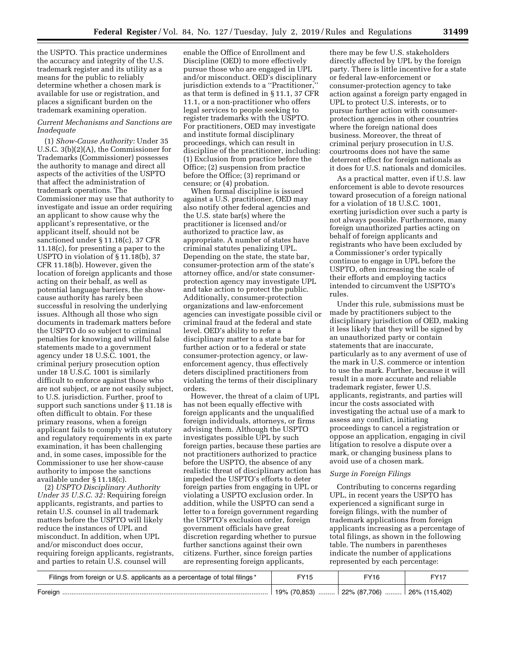the USPTO. This practice undermines the accuracy and integrity of the U.S. trademark register and its utility as a means for the public to reliably determine whether a chosen mark is available for use or registration, and places a significant burden on the trademark examining operation.

# *Current Mechanisms and Sanctions are Inadequate*

(1) *Show-Cause Authority:* Under 35 U.S.C. 3(b)(2)(A), the Commissioner for Trademarks (Commissioner) possesses the authority to manage and direct all aspects of the activities of the USPTO that affect the administration of trademark operations. The Commissioner may use that authority to investigate and issue an order requiring an applicant to show cause why the applicant's representative, or the applicant itself, should not be sanctioned under § 11.18(c), 37 CFR 11.18(c), for presenting a paper to the USPTO in violation of § 11.18(b), 37 CFR 11.18(b). However, given the location of foreign applicants and those acting on their behalf, as well as potential language barriers, the showcause authority has rarely been successful in resolving the underlying issues. Although all those who sign documents in trademark matters before the USPTO do so subject to criminal penalties for knowing and willful false statements made to a government agency under 18 U.S.C. 1001, the criminal perjury prosecution option under 18 U.S.C. 1001 is similarly difficult to enforce against those who are not subject, or are not easily subject, to U.S. jurisdiction. Further, proof to support such sanctions under § 11.18 is often difficult to obtain. For these primary reasons, when a foreign applicant fails to comply with statutory and regulatory requirements in ex parte examination, it has been challenging and, in some cases, impossible for the Commissioner to use her show-cause authority to impose the sanctions available under § 11.18(c).

(2) *USPTO Disciplinary Authority Under 35 U.S.C. 32:* Requiring foreign applicants, registrants, and parties to retain U.S. counsel in all trademark matters before the USPTO will likely reduce the instances of UPL and misconduct. In addition, when UPL and/or misconduct does occur, requiring foreign applicants, registrants, and parties to retain U.S. counsel will

enable the Office of Enrollment and Discipline (OED) to more effectively pursue those who are engaged in UPL and/or misconduct. OED's disciplinary jurisdiction extends to a "Practitioner," as that term is defined in § 11.1, 37 CFR 11.1, or a non-practitioner who offers legal services to people seeking to register trademarks with the USPTO. For practitioners, OED may investigate and institute formal disciplinary proceedings, which can result in discipline of the practitioner, including: (1) Exclusion from practice before the Office; (2) suspension from practice before the Office; (3) reprimand or censure; or (4) probation.

When formal discipline is issued against a U.S. practitioner, OED may also notify other federal agencies and the U.S. state bar(s) where the practitioner is licensed and/or authorized to practice law, as appropriate. A number of states have criminal statutes penalizing UPL. Depending on the state, the state bar, consumer-protection arm of the state's attorney office, and/or state consumerprotection agency may investigate UPL and take action to protect the public. Additionally, consumer-protection organizations and law-enforcement agencies can investigate possible civil or criminal fraud at the federal and state level. OED's ability to refer a disciplinary matter to a state bar for further action or to a federal or state consumer-protection agency, or lawenforcement agency, thus effectively deters disciplined practitioners from violating the terms of their disciplinary orders.

However, the threat of a claim of UPL has not been equally effective with foreign applicants and the unqualified foreign individuals, attorneys, or firms advising them. Although the USPTO investigates possible UPL by such foreign parties, because these parties are not practitioners authorized to practice before the USPTO, the absence of any realistic threat of disciplinary action has impeded the USPTO's efforts to deter foreign parties from engaging in UPL or violating a USPTO exclusion order. In addition, while the USPTO can send a letter to a foreign government regarding the USPTO's exclusion order, foreign government officials have great discretion regarding whether to pursue further sanctions against their own citizens. Further, since foreign parties are representing foreign applicants,

there may be few U.S. stakeholders directly affected by UPL by the foreign party. There is little incentive for a state or federal law-enforcement or consumer-protection agency to take action against a foreign party engaged in UPL to protect U.S. interests, or to pursue further action with consumerprotection agencies in other countries where the foreign national does business. Moreover, the threat of criminal perjury prosecution in U.S. courtrooms does not have the same deterrent effect for foreign nationals as it does for U.S. nationals and domiciles.

As a practical matter, even if U.S. law enforcement is able to devote resources toward prosecution of a foreign national for a violation of 18 U.S.C. 1001, exerting jurisdiction over such a party is not always possible. Furthermore, many foreign unauthorized parties acting on behalf of foreign applicants and registrants who have been excluded by a Commissioner's order typically continue to engage in UPL before the USPTO, often increasing the scale of their efforts and employing tactics intended to circumvent the USPTO's rules.

Under this rule, submissions must be made by practitioners subject to the disciplinary jurisdiction of OED, making it less likely that they will be signed by an unauthorized party or contain statements that are inaccurate, particularly as to any averment of use of the mark in U.S. commerce or intention to use the mark. Further, because it will result in a more accurate and reliable trademark register, fewer U.S. applicants, registrants, and parties will incur the costs associated with investigating the actual use of a mark to assess any conflict, initiating proceedings to cancel a registration or oppose an application, engaging in civil litigation to resolve a dispute over a mark, or changing business plans to avoid use of a chosen mark.

#### *Surge in Foreign Filings*

Contributing to concerns regarding UPL, in recent years the USPTO has experienced a significant surge in foreign filings, with the number of trademark applications from foreign applicants increasing as a percentage of total filings, as shown in the following table. The numbers in parentheses indicate the number of applications represented by each percentage:

| Filings from foreign or U.S. applicants as a percentage of total filings * |         |              |                   |  |
|----------------------------------------------------------------------------|---------|--------------|-------------------|--|
| Foreiar                                                                    | 19%<br> | 22% (87.706) | $26%$ (<br>15.402 |  |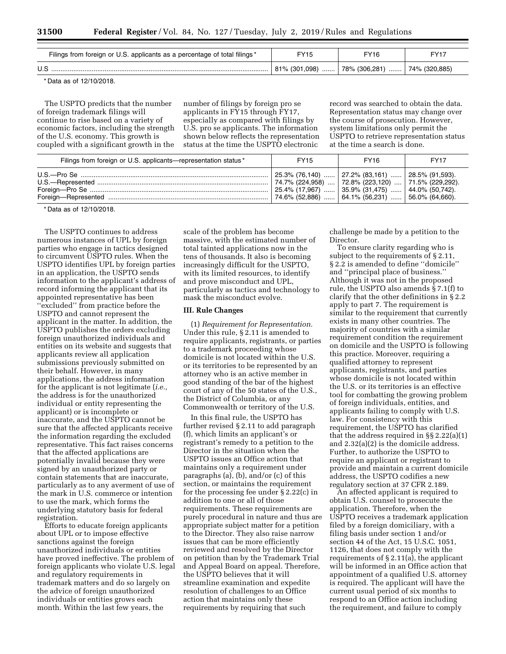| Filings from foreign or U.S. applicants as a percentage of total filings* |                       |                         |               |
|---------------------------------------------------------------------------|-----------------------|-------------------------|---------------|
|                                                                           | .098)<br>81% (301<br> | $ 78\% (306, 281)$<br>. | 74% (320,885, |

\* Data as of 12/10/2018.

The USPTO predicts that the number of foreign trademark filings will continue to rise based on a variety of economic factors, including the strength of the U.S. economy. This growth is coupled with a significant growth in the

number of filings by foreign pro se applicants in FY15 through FY17, especially as compared with filings by U.S. pro se applicants. The information shown below reflects the representation status at the time the USPTO electronic

record was searched to obtain the data. Representation status may change over the course of prosecution. However, system limitations only permit the USPTO to retrieve representation status at the time a search is done.

| Filings from foreign or U.S. applicants—representation status * | <b>FY15</b>                                                                                                                                                       | <b>FY16</b>                                                                        | <b>FY17</b> |
|-----------------------------------------------------------------|-------------------------------------------------------------------------------------------------------------------------------------------------------------------|------------------------------------------------------------------------------------|-------------|
|                                                                 | $ 25.3\%$ (76,140)<br>  74.7% (224,958)    72.8% (223,120)    71.5% (229,292).<br>$ 25.4\%$ (17,967)<br>│ 74.6% (52.886) …… │ 64.1% (56.231) …… │ 56.0% (64.660). | $\vert$ 27.2% (83,161)  28.5% (91,593).<br>$\vert$ 35.9% (31,475)  44.0% (50,742). |             |

\* Data as of 12/10/2018.

The USPTO continues to address numerous instances of UPL by foreign parties who engage in tactics designed to circumvent USPTO rules. When the USPTO identifies UPL by foreign parties in an application, the USPTO sends information to the applicant's address of record informing the applicant that its appointed representative has been ''excluded'' from practice before the USPTO and cannot represent the applicant in the matter. In addition, the USPTO publishes the orders excluding foreign unauthorized individuals and entities on its website and suggests that applicants review all application submissions previously submitted on their behalf. However, in many applications, the address information for the applicant is not legitimate (*i.e.,*  the address is for the unauthorized individual or entity representing the applicant) or is incomplete or inaccurate, and the USPTO cannot be sure that the affected applicants receive the information regarding the excluded representative. This fact raises concerns that the affected applications are potentially invalid because they were signed by an unauthorized party or contain statements that are inaccurate, particularly as to any averment of use of the mark in U.S. commerce or intention to use the mark, which forms the underlying statutory basis for federal registration.

Efforts to educate foreign applicants about UPL or to impose effective sanctions against the foreign unauthorized individuals or entities have proved ineffective. The problem of foreign applicants who violate U.S. legal and regulatory requirements in trademark matters and do so largely on the advice of foreign unauthorized individuals or entities grows each month. Within the last few years, the

scale of the problem has become massive, with the estimated number of total tainted applications now in the tens of thousands. It also is becoming increasingly difficult for the USPTO, with its limited resources, to identify and prove misconduct and UPL, particularly as tactics and technology to mask the misconduct evolve.

#### **III. Rule Changes**

(1) *Requirement for Representation.*  Under this rule, § 2.11 is amended to require applicants, registrants, or parties to a trademark proceeding whose domicile is not located within the U.S. or its territories to be represented by an attorney who is an active member in good standing of the bar of the highest court of any of the 50 states of the U.S., the District of Columbia, or any Commonwealth or territory of the U.S.

In this final rule, the USPTO has further revised § 2.11 to add paragraph (f), which limits an applicant's or registrant's remedy to a petition to the Director in the situation when the USPTO issues an Office action that maintains only a requirement under paragraphs (a), (b), and/or (c) of this section, or maintains the requirement for the processing fee under § 2.22(c) in addition to one or all of those requirements. These requirements are purely procedural in nature and thus are appropriate subject matter for a petition to the Director. They also raise narrow issues that can be more efficiently reviewed and resolved by the Director on petition than by the Trademark Trial and Appeal Board on appeal. Therefore, the USPTO believes that it will streamline examination and expedite resolution of challenges to an Office action that maintains only these requirements by requiring that such

challenge be made by a petition to the Director.

To ensure clarity regarding who is subject to the requirements of § 2.11, § 2.2 is amended to define ''domicile'' and ''principal place of business.'' Although it was not in the proposed rule, the USPTO also amends § 7.1(f) to clarify that the other definitions in § 2.2 apply to part 7. The requirement is similar to the requirement that currently exists in many other countries. The majority of countries with a similar requirement condition the requirement on domicile and the USPTO is following this practice. Moreover, requiring a qualified attorney to represent applicants, registrants, and parties whose domicile is not located within the U.S. or its territories is an effective tool for combatting the growing problem of foreign individuals, entities, and applicants failing to comply with U.S. law. For consistency with this requirement, the USPTO has clarified that the address required in §§ 2.22(a)(1) and 2.32(a)(2) is the domicile address. Further, to authorize the USPTO to require an applicant or registrant to provide and maintain a current domicile address, the USPTO codifies a new regulatory section at 37 CFR 2.189.

An affected applicant is required to obtain U.S. counsel to prosecute the application. Therefore, when the USPTO receives a trademark application filed by a foreign domiciliary, with a filing basis under section 1 and/or section 44 of the Act, 15 U.S.C. 1051, 1126, that does not comply with the requirements of § 2.11(a), the applicant will be informed in an Office action that appointment of a qualified U.S. attorney is required. The applicant will have the current usual period of six months to respond to an Office action including the requirement, and failure to comply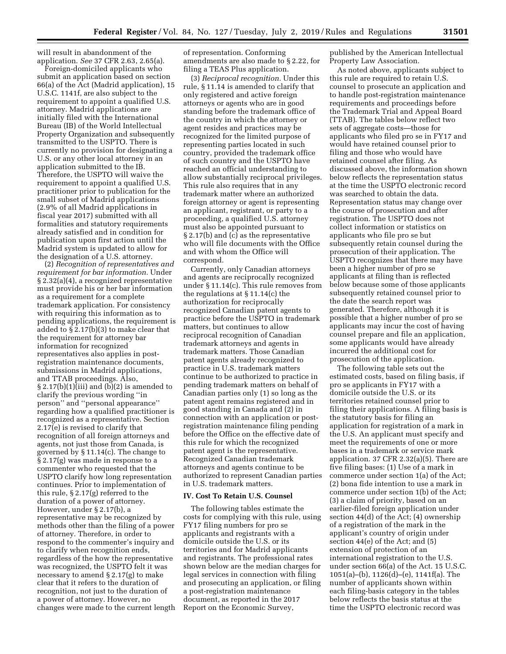will result in abandonment of the application. *See* 37 CFR 2.63, 2.65(a).

Foreign-domiciled applicants who submit an application based on section 66(a) of the Act (Madrid application), 15 U.S.C. 1141f, are also subject to the requirement to appoint a qualified U.S. attorney. Madrid applications are initially filed with the International Bureau (IB) of the World Intellectual Property Organization and subsequently transmitted to the USPTO. There is currently no provision for designating a U.S. or any other local attorney in an application submitted to the IB. Therefore, the USPTO will waive the requirement to appoint a qualified U.S. practitioner prior to publication for the small subset of Madrid applications (2.9% of all Madrid applications in fiscal year 2017) submitted with all formalities and statutory requirements already satisfied and in condition for publication upon first action until the Madrid system is updated to allow for the designation of a U.S. attorney.

(2) *Recognition of representatives and requirement for bar information.* Under § 2.32(a)(4), a recognized representative must provide his or her bar information as a requirement for a complete trademark application. For consistency with requiring this information as to pending applications, the requirement is added to § 2.17(b)(3) to make clear that the requirement for attorney bar information for recognized representatives also applies in postregistration maintenance documents, submissions in Madrid applications, and TTAB proceedings. Also,  $\S 2.17(b)(1)(iii)$  and  $(b)(2)$  is amended to clarify the previous wording ''in person'' and ''personal appearance'' regarding how a qualified practitioner is recognized as a representative. Section 2.17(e) is revised to clarify that recognition of all foreign attorneys and agents, not just those from Canada, is governed by § 11.14(c). The change to § 2.17(g) was made in response to a commenter who requested that the USPTO clarify how long representation continues. Prior to implementation of this rule, § 2.17(g) referred to the duration of a power of attorney. However, under § 2.17(b), a representative may be recognized by methods other than the filing of a power of attorney. Therefore, in order to respond to the commenter's inquiry and to clarify when recognition ends, regardless of the how the representative was recognized, the USPTO felt it was necessary to amend  $\S 2.17(g)$  to make clear that it refers to the duration of recognition, not just to the duration of a power of attorney. However, no changes were made to the current length of representation. Conforming amendments are also made to § 2.22, for filing a TEAS Plus application.

(3) *Reciprocal recognition.* Under this rule, § 11.14 is amended to clarify that only registered and active foreign attorneys or agents who are in good standing before the trademark office of the country in which the attorney or agent resides and practices may be recognized for the limited purpose of representing parties located in such country, provided the trademark office of such country and the USPTO have reached an official understanding to allow substantially reciprocal privileges. This rule also requires that in any trademark matter where an authorized foreign attorney or agent is representing an applicant, registrant, or party to a proceeding, a qualified U.S. attorney must also be appointed pursuant to § 2.17(b) and (c) as the representative who will file documents with the Office and with whom the Office will correspond.

Currently, only Canadian attorneys and agents are reciprocally recognized under § 11.14(c). This rule removes from the regulations at § 11.14(c) the authorization for reciprocally recognized Canadian patent agents to practice before the USPTO in trademark matters, but continues to allow reciprocal recognition of Canadian trademark attorneys and agents in trademark matters. Those Canadian patent agents already recognized to practice in U.S. trademark matters continue to be authorized to practice in pending trademark matters on behalf of Canadian parties only (1) so long as the patent agent remains registered and in good standing in Canada and (2) in connection with an application or postregistration maintenance filing pending before the Office on the effective date of this rule for which the recognized patent agent is the representative. Recognized Canadian trademark attorneys and agents continue to be authorized to represent Canadian parties in U.S. trademark matters.

## **IV. Cost To Retain U.S. Counsel**

The following tables estimate the costs for complying with this rule, using FY17 filing numbers for pro se applicants and registrants with a domicile outside the U.S. or its territories and for Madrid applicants and registrants. The professional rates shown below are the median charges for legal services in connection with filing and prosecuting an application, or filing a post-registration maintenance document, as reported in the 2017 Report on the Economic Survey,

published by the American Intellectual Property Law Association.

As noted above, applicants subject to this rule are required to retain U.S. counsel to prosecute an application and to handle post-registration maintenance requirements and proceedings before the Trademark Trial and Appeal Board (TTAB). The tables below reflect two sets of aggregate costs—those for applicants who filed pro se in FY17 and would have retained counsel prior to filing and those who would have retained counsel after filing. As discussed above, the information shown below reflects the representation status at the time the USPTO electronic record was searched to obtain the data. Representation status may change over the course of prosecution and after registration. The USPTO does not collect information or statistics on applicants who file pro se but subsequently retain counsel during the prosecution of their application. The USPTO recognizes that there may have been a higher number of pro se applicants at filing than is reflected below because some of those applicants subsequently retained counsel prior to the date the search report was generated. Therefore, although it is possible that a higher number of pro se applicants may incur the cost of having counsel prepare and file an application, some applicants would have already incurred the additional cost for prosecution of the application.

The following table sets out the estimated costs, based on filing basis, if pro se applicants in FY17 with a domicile outside the U.S. or its territories retained counsel prior to filing their applications. A filing basis is the statutory basis for filing an application for registration of a mark in the U.S. An applicant must specify and meet the requirements of one or more bases in a trademark or service mark application. 37 CFR 2.32(a)(5). There are five filing bases: (1) Use of a mark in commerce under section 1(a) of the Act; (2) bona fide intention to use a mark in commerce under section 1(b) of the Act; (3) a claim of priority, based on an earlier-filed foreign application under section 44(d) of the Act; (4) ownership of a registration of the mark in the applicant's country of origin under section 44(e) of the Act; and (5) extension of protection of an international registration to the U.S. under section 66(a) of the Act. 15 U.S.C. 1051(a)–(b), 1126(d)–(e), 1141f(a). The number of applicants shown within each filing-basis category in the tables below reflects the basis status at the time the USPTO electronic record was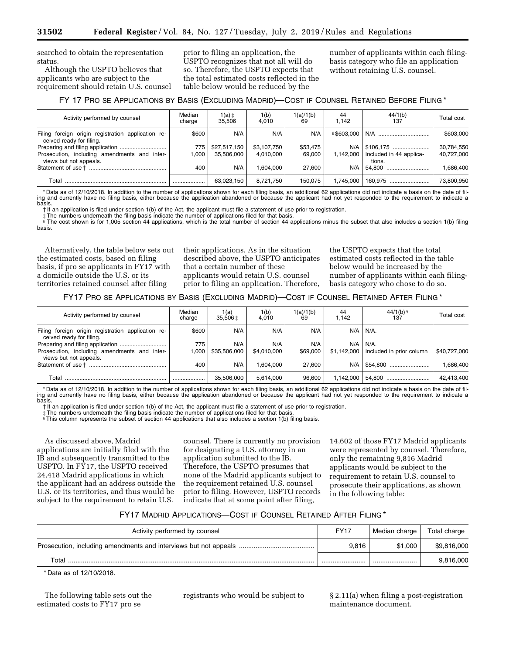searched to obtain the representation status.

Although the USPTO believes that applicants who are subject to the requirement should retain U.S. counsel prior to filing an application, the USPTO recognizes that not all will do so. Therefore, the USPTO expects that the total estimated costs reflected in the table below would be reduced by the

number of applicants within each filingbasis category who file an application without retaining U.S. counsel.

## FY 17 PRO SE APPLICATIONS BY BASIS (EXCLUDING MADRID)—COST IF COUNSEL RETAINED BEFORE FILING \*

| Activity performed by counsel                                                  | Median<br>charge | $1(a)$ ‡<br>35.506 | 1(b)<br>4.010 | 1(a)/1(b)<br>69 | 44<br>1.142 | 44/1(b)<br>137                    | Total cost |
|--------------------------------------------------------------------------------|------------------|--------------------|---------------|-----------------|-------------|-----------------------------------|------------|
| Filing foreign origin registration application re-<br>ceived ready for filing. | \$600            | N/A                | N/A           | N/A             | \$\$603.000 | N/A                               | \$603,000  |
|                                                                                | 775              | \$27,517,150       | \$3,107,750   | \$53,475        | N/A         | $$106,175$                        | 30,784,550 |
| Prosecution, including amendments and inter-<br>views but not appeals.         | 000.             | 35.506.000         | 4.010.000     | 69.000          | 1.142.000   | Included in 44 applica-<br>tions. | 40,727,000 |
|                                                                                | 400              | N/A                | .604.000      | 27.600          | N/A         | 54,800                            | .686.400   |
| Total                                                                          |                  | 63,023,150         | 8.721.750     | 150.075         | .745.000    | 160.975                           | 73.800.950 |

\* Data as of 12/10/2018. In addition to the number of applications shown for each filing basis, an additional 62 applications did not indicate a basis on the date of filing and currently have no filing basis, either because the application abandoned or because the applicant had not yet responded to the requirement to indicate a basis.

† If an application is filed under section 1(b) of the Act, the applicant must file a statement of use prior to registration.

‡ The numbers underneath the filing basis indicate the number of applications filed for that basis.

§ The cost shown is for 1,005 section 44 applications, which is the total number of section 44 applications minus the subset that also includes a section 1(b) filing basis.

Alternatively, the table below sets out the estimated costs, based on filing basis, if pro se applicants in FY17 with a domicile outside the U.S. or its territories retained counsel after filing

their applications. As in the situation described above, the USPTO anticipates that a certain number of these applicants would retain U.S. counsel prior to filing an application. Therefore,

the USPTO expects that the total estimated costs reflected in the table below would be increased by the number of applicants within each filingbasis category who chose to do so.

FY17 PRO SE APPLICATIONS BY BASIS (EXCLUDING MADRID)—COST IF COUNSEL RETAINED AFTER FILING \*

| Activity performed by counsel                                                  | Median<br>charge | 1(a)<br>$35.506 \pm$ | $1(b)$<br>4,010 | $\frac{1(a)}{69}$ | 44<br>1.142 | $44/1(b)$ <sup>\$</sup><br>137 | Total cost   |
|--------------------------------------------------------------------------------|------------------|----------------------|-----------------|-------------------|-------------|--------------------------------|--------------|
| Filing foreign origin registration application re-<br>ceived ready for filing. | \$600            | N/A                  | N/A             | N/A               | N/A         | N/A.                           |              |
|                                                                                | 775              | N/A                  | N/A             | N/A               | N/A         | $N/A$ .                        |              |
| Prosecution, including amendments and inter-<br>views but not appeals.         | 000,1            | \$35,506,000         | \$4.010.000     | \$69,000          | \$1.142.000 | Included in prior column       | \$40,727,000 |
|                                                                                | 400              | N/A                  | .604.000        | 27.600            | N/A         |                                | 004,686,     |
| Total                                                                          |                  | 35.506.000           | 5.614.000       | 96.600            | 1.142.000   | 54,800                         | 42.413.400   |

\* Data as of 12/10/2018. In addition to the number of applications shown for each filing basis, an additional 62 applications did not indicate a basis on the date of fil-<br>ing and currently have no filing basis, either beca

† If an application is filed under section 1(b) of the Act, the applicant must file a statement of use prior to registration.

‡ The numbers underneath the filing basis indicate the number of applications filed for that basis.

§This column represents the subset of section 44 applications that also includes a section 1(b) filing basis.

As discussed above, Madrid applications are initially filed with the IB and subsequently transmitted to the USPTO. In FY17, the USPTO received 24,418 Madrid applications in which the applicant had an address outside the U.S. or its territories, and thus would be subject to the requirement to retain U.S.

counsel. There is currently no provision for designating a U.S. attorney in an application submitted to the IB. Therefore, the USPTO presumes that none of the Madrid applicants subject to the requirement retained U.S. counsel prior to filing. However, USPTO records indicate that at some point after filing,

14,602 of those FY17 Madrid applicants were represented by counsel. Therefore, only the remaining 9,816 Madrid applicants would be subject to the requirement to retain U.S. counsel to prosecute their applications, as shown in the following table:

## FY17 MADRID APPLICATIONS—COST IF COUNSEL RETAINED AFTER FILING \*

| Activity performed by counsel | <b>FY17</b> | Median charge | Total charge |
|-------------------------------|-------------|---------------|--------------|
|                               | 9.816       | \$1,000       | \$9,816,000  |
| Total                         |             |               | 9,816,000    |

\* Data as of 12/10/2018.

The following table sets out the estimated costs to FY17 pro se

registrants who would be subject to § 2.11(a) when filing a post-registration maintenance document.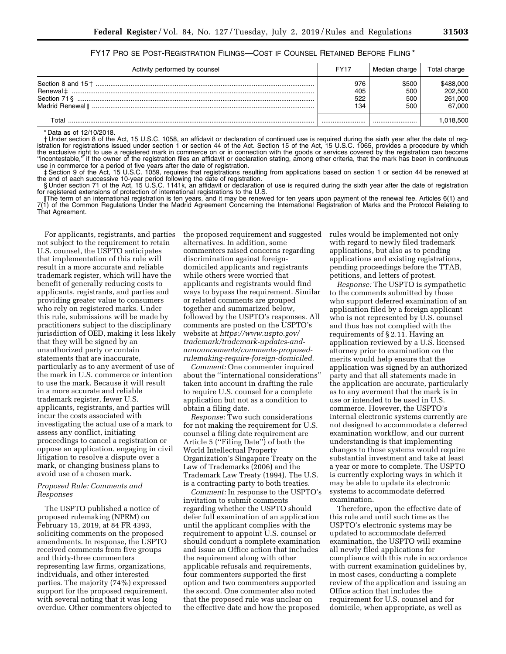| Activity performed by counsel | <b>FY17</b>              | Median charge              | Total charge                              |
|-------------------------------|--------------------------|----------------------------|-------------------------------------------|
|                               | 976<br>405<br>522<br>134 | \$500<br>500<br>500<br>500 | \$488,000<br>202,500<br>261,000<br>67.000 |
| Total                         |                          |                            | 018,500,                                  |

## FY17 PRO SE POST-REGISTRATION FILINGS—COST IF COUNSEL RETAINED BEFORE FILING \*

#### \* Data as of 12/10/2018.

† Under section 8 of the Act, 15 U.S.C. 1058, an affidavit or declaration of continued use is required during the sixth year after the date of registration for registrations issued under section 1 or section 44 of the Act. Section 15 of the Act, 15 U.S.C. 1065, provides a procedure by which the exclusive right to use a registered mark in commerce on or in connection with the goods or services covered by the registration can become ''incontestable,'' if the owner of the registration files an affidavit or declaration stating, among other criteria, that the mark has been in continuous use in commerce for a period of five years after the date of registration.

‡ Section 9 of the Act, 15 U.S.C. 1059, requires that registrations resulting from applications based on section 1 or section 44 be renewed at the end of each successive 10-year period following the date of registration.

§ Under section 71 of the Act, 15 U.S.C. 1141k, an affidavit or declaration of use is required during the sixth year after the date of registration for registered extensions of protection of international registrations to the U.S.

||The term of an international registration is ten years, and it may be renewed for ten years upon payment of the renewal fee. Articles 6(1) and 7(1) of the Common Regulations Under the Madrid Agreement Concerning the International Registration of Marks and the Protocol Relating to That Agreement.

For applicants, registrants, and parties not subject to the requirement to retain U.S. counsel, the USPTO anticipates that implementation of this rule will result in a more accurate and reliable trademark register, which will have the benefit of generally reducing costs to applicants, registrants, and parties and providing greater value to consumers who rely on registered marks. Under this rule, submissions will be made by practitioners subject to the disciplinary jurisdiction of OED, making it less likely that they will be signed by an unauthorized party or contain statements that are inaccurate, particularly as to any averment of use of the mark in U.S. commerce or intention to use the mark. Because it will result in a more accurate and reliable trademark register, fewer U.S. applicants, registrants, and parties will incur the costs associated with investigating the actual use of a mark to assess any conflict, initiating proceedings to cancel a registration or oppose an application, engaging in civil litigation to resolve a dispute over a mark, or changing business plans to avoid use of a chosen mark.

## *Proposed Rule: Comments and Responses*

The USPTO published a notice of proposed rulemaking (NPRM) on February 15, 2019, at 84 FR 4393, soliciting comments on the proposed amendments. In response, the USPTO received comments from five groups and thirty-three commenters representing law firms, organizations, individuals, and other interested parties. The majority (74%) expressed support for the proposed requirement, with several noting that it was long overdue. Other commenters objected to the proposed requirement and suggested alternatives. In addition, some commenters raised concerns regarding discrimination against foreigndomiciled applicants and registrants while others were worried that applicants and registrants would find ways to bypass the requirement. Similar or related comments are grouped together and summarized below, followed by the USPTO's responses. All comments are posted on the USPTO's website at *[https://www.uspto.gov/](https://www.uspto.gov/trademark/trademark-updates-and-announcements/comments-proposed-rulemaking-require-foreign-domiciled)  [trademark/trademark-updates-and](https://www.uspto.gov/trademark/trademark-updates-and-announcements/comments-proposed-rulemaking-require-foreign-domiciled)[announcements/comments-proposed](https://www.uspto.gov/trademark/trademark-updates-and-announcements/comments-proposed-rulemaking-require-foreign-domiciled)[rulemaking-require-foreign-domiciled](https://www.uspto.gov/trademark/trademark-updates-and-announcements/comments-proposed-rulemaking-require-foreign-domiciled)*.

*Comment:* One commenter inquired about the ''international considerations'' taken into account in drafting the rule to require U.S. counsel for a complete application but not as a condition to obtain a filing date.

*Response:* Two such considerations for not making the requirement for U.S. counsel a filing date requirement are Article 5 (''Filing Date'') of both the World Intellectual Property Organization's Singapore Treaty on the Law of Trademarks (2006) and the Trademark Law Treaty (1994). The U.S. is a contracting party to both treaties.

*Comment:* In response to the USPTO's invitation to submit comments regarding whether the USPTO should defer full examination of an application until the applicant complies with the requirement to appoint U.S. counsel or should conduct a complete examination and issue an Office action that includes the requirement along with other applicable refusals and requirements, four commenters supported the first option and two commenters supported the second. One commenter also noted that the proposed rule was unclear on the effective date and how the proposed

rules would be implemented not only with regard to newly filed trademark applications, but also as to pending applications and existing registrations, pending proceedings before the TTAB, petitions, and letters of protest.

*Response:* The USPTO is sympathetic to the comments submitted by those who support deferred examination of an application filed by a foreign applicant who is not represented by U.S. counsel and thus has not complied with the requirements of § 2.11. Having an application reviewed by a U.S. licensed attorney prior to examination on the merits would help ensure that the application was signed by an authorized party and that all statements made in the application are accurate, particularly as to any averment that the mark is in use or intended to be used in U.S. commerce. However, the USPTO's internal electronic systems currently are not designed to accommodate a deferred examination workflow, and our current understanding is that implementing changes to those systems would require substantial investment and take at least a year or more to complete. The USPTO is currently exploring ways in which it may be able to update its electronic systems to accommodate deferred examination.

Therefore, upon the effective date of this rule and until such time as the USPTO's electronic systems may be updated to accommodate deferred examination, the USPTO will examine all newly filed applications for compliance with this rule in accordance with current examination guidelines by, in most cases, conducting a complete review of the application and issuing an Office action that includes the requirement for U.S. counsel and for domicile, when appropriate, as well as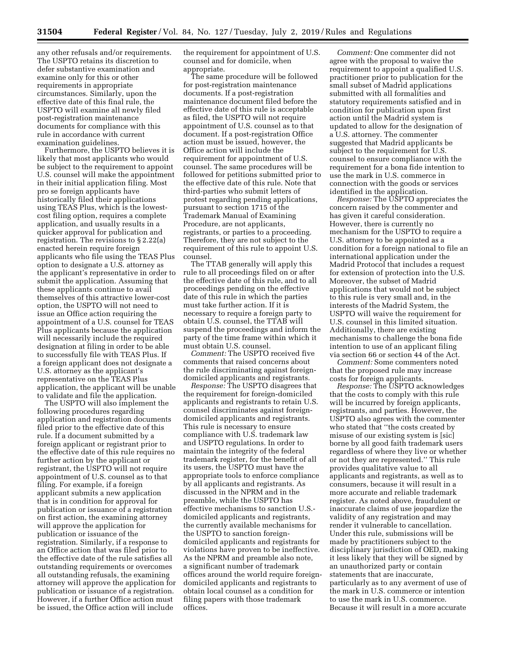any other refusals and/or requirements. The USPTO retains its discretion to defer substantive examination and examine only for this or other requirements in appropriate circumstances. Similarly, upon the effective date of this final rule, the USPTO will examine all newly filed post-registration maintenance documents for compliance with this rule in accordance with current examination guidelines.

Furthermore, the USPTO believes it is likely that most applicants who would be subject to the requirement to appoint U.S. counsel will make the appointment in their initial application filing. Most pro se foreign applicants have historically filed their applications using TEAS Plus, which is the lowestcost filing option, requires a complete application, and usually results in a quicker approval for publication and registration. The revisions to § 2.22(a) enacted herein require foreign applicants who file using the TEAS Plus option to designate a U.S. attorney as the applicant's representative in order to submit the application. Assuming that these applicants continue to avail themselves of this attractive lower-cost option, the USPTO will not need to issue an Office action requiring the appointment of a U.S. counsel for TEAS Plus applicants because the application will necessarily include the required designation at filing in order to be able to successfully file with TEAS Plus. If a foreign applicant does not designate a U.S. attorney as the applicant's representative on the TEAS Plus application, the applicant will be unable to validate and file the application.

The USPTO will also implement the following procedures regarding application and registration documents filed prior to the effective date of this rule. If a document submitted by a foreign applicant or registrant prior to the effective date of this rule requires no further action by the applicant or registrant, the USPTO will not require appointment of U.S. counsel as to that filing. For example, if a foreign applicant submits a new application that is in condition for approval for publication or issuance of a registration on first action, the examining attorney will approve the application for publication or issuance of the registration. Similarly, if a response to an Office action that was filed prior to the effective date of the rule satisfies all outstanding requirements or overcomes all outstanding refusals, the examining attorney will approve the application for publication or issuance of a registration. However, if a further Office action must be issued, the Office action will include

the requirement for appointment of U.S. counsel and for domicile, when appropriate.

The same procedure will be followed for post-registration maintenance documents. If a post-registration maintenance document filed before the effective date of this rule is acceptable as filed, the USPTO will not require appointment of U.S. counsel as to that document. If a post-registration Office action must be issued, however, the Office action will include the requirement for appointment of U.S. counsel. The same procedures will be followed for petitions submitted prior to the effective date of this rule. Note that third-parties who submit letters of protest regarding pending applications, pursuant to section 1715 of the Trademark Manual of Examining Procedure, are not applicants, registrants, or parties to a proceeding. Therefore, they are not subject to the requirement of this rule to appoint U.S. counsel.

The TTAB generally will apply this rule to all proceedings filed on or after the effective date of this rule, and to all proceedings pending on the effective date of this rule in which the parties must take further action. If it is necessary to require a foreign party to obtain U.S. counsel, the TTAB will suspend the proceedings and inform the party of the time frame within which it must obtain U.S. counsel.

*Comment:* The USPTO received five comments that raised concerns about the rule discriminating against foreigndomiciled applicants and registrants.

*Response:* The USPTO disagrees that the requirement for foreign-domiciled applicants and registrants to retain U.S. counsel discriminates against foreigndomiciled applicants and registrants. This rule is necessary to ensure compliance with U.S. trademark law and USPTO regulations. In order to maintain the integrity of the federal trademark register, for the benefit of all its users, the USPTO must have the appropriate tools to enforce compliance by all applicants and registrants. As discussed in the NPRM and in the preamble, while the USPTO has effective mechanisms to sanction U.S. domiciled applicants and registrants, the currently available mechanisms for the USPTO to sanction foreigndomiciled applicants and registrants for violations have proven to be ineffective. As the NPRM and preamble also note, a significant number of trademark offices around the world require foreigndomiciled applicants and registrants to obtain local counsel as a condition for filing papers with those trademark offices.

*Comment:* One commenter did not agree with the proposal to waive the requirement to appoint a qualified U.S. practitioner prior to publication for the small subset of Madrid applications submitted with all formalities and statutory requirements satisfied and in condition for publication upon first action until the Madrid system is updated to allow for the designation of a U.S. attorney. The commenter suggested that Madrid applicants be subject to the requirement for U.S. counsel to ensure compliance with the requirement for a bona fide intention to use the mark in U.S. commerce in connection with the goods or services identified in the application.

*Response:* The USPTO appreciates the concern raised by the commenter and has given it careful consideration. However, there is currently no mechanism for the USPTO to require a U.S. attorney to be appointed as a condition for a foreign national to file an international application under the Madrid Protocol that includes a request for extension of protection into the U.S. Moreover, the subset of Madrid applications that would not be subject to this rule is very small and, in the interests of the Madrid System, the USPTO will waive the requirement for U.S. counsel in this limited situation. Additionally, there are existing mechanisms to challenge the bona fide intention to use of an applicant filing via section 66 or section 44 of the Act.

*Comment:* Some commenters noted that the proposed rule may increase costs for foreign applicants.

*Response:* The USPTO acknowledges that the costs to comply with this rule will be incurred by foreign applicants, registrants, and parties. However, the USPTO also agrees with the commenter who stated that ''the costs created by misuse of our existing system is [sic] borne by all good faith trademark users regardless of where they live or whether or not they are represented.'' This rule provides qualitative value to all applicants and registrants, as well as to consumers, because it will result in a more accurate and reliable trademark register. As noted above, fraudulent or inaccurate claims of use jeopardize the validity of any registration and may render it vulnerable to cancellation. Under this rule, submissions will be made by practitioners subject to the disciplinary jurisdiction of OED, making it less likely that they will be signed by an unauthorized party or contain statements that are inaccurate, particularly as to any averment of use of the mark in U.S. commerce or intention to use the mark in U.S. commerce. Because it will result in a more accurate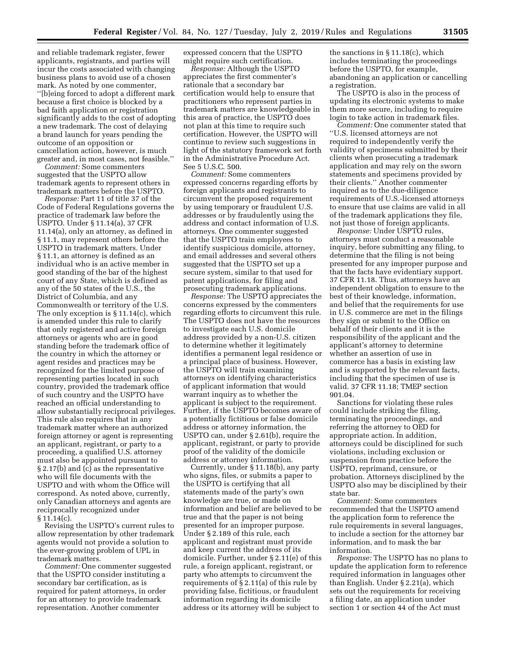and reliable trademark register, fewer applicants, registrants, and parties will incur the costs associated with changing business plans to avoid use of a chosen mark. As noted by one commenter, ''[b]eing forced to adopt a different mark because a first choice is blocked by a bad faith application or registration significantly adds to the cost of adopting a new trademark. The cost of delaying a brand launch for years pending the outcome of an opposition or cancellation action, however, is much greater and, in most cases, not feasible.''

*Comment:* Some commenters suggested that the USPTO allow trademark agents to represent others in trademark matters before the USPTO.

*Response:* Part 11 of title 37 of the Code of Federal Regulations governs the practice of trademark law before the USPTO. Under § 11.14(a), 37 CFR 11.14(a), only an attorney, as defined in § 11.1, may represent others before the USPTO in trademark matters. Under § 11.1, an attorney is defined as an individual who is an active member in good standing of the bar of the highest court of any State, which is defined as any of the 50 states of the U.S., the District of Columbia, and any Commonwealth or territory of the U.S. The only exception is § 11.14(c), which is amended under this rule to clarify that only registered and active foreign attorneys or agents who are in good standing before the trademark office of the country in which the attorney or agent resides and practices may be recognized for the limited purpose of representing parties located in such country, provided the trademark office of such country and the USPTO have reached an official understanding to allow substantially reciprocal privileges. This rule also requires that in any trademark matter where an authorized foreign attorney or agent is representing an applicant, registrant, or party to a proceeding, a qualified U.S. attorney must also be appointed pursuant to § 2.17(b) and (c) as the representative who will file documents with the USPTO and with whom the Office will correspond. As noted above, currently, only Canadian attorneys and agents are reciprocally recognized under § 11.14(c).

Revising the USPTO's current rules to allow representation by other trademark agents would not provide a solution to the ever-growing problem of UPL in trademark matters.

*Comment:* One commenter suggested that the USPTO consider instituting a secondary bar certification, as is required for patent attorneys, in order for an attorney to provide trademark representation. Another commenter

expressed concern that the USPTO might require such certification.

*Response:* Although the USPTO appreciates the first commenter's rationale that a secondary bar certification would help to ensure that practitioners who represent parties in trademark matters are knowledgeable in this area of practice, the USPTO does not plan at this time to require such certification. However, the USPTO will continue to review such suggestions in light of the statutory framework set forth in the Administrative Procedure Act. See 5 U.S.C. 500.

*Comment:* Some commenters expressed concerns regarding efforts by foreign applicants and registrants to circumvent the proposed requirement by using temporary or fraudulent U.S. addresses or by fraudulently using the address and contact information of U.S. attorneys. One commenter suggested that the USPTO train employees to identify suspicious domicile, attorney, and email addresses and several others suggested that the USPTO set up a secure system, similar to that used for patent applications, for filing and prosecuting trademark applications.

*Response:* The USPTO appreciates the concerns expressed by the commenters regarding efforts to circumvent this rule. The USPTO does not have the resources to investigate each U.S. domicile address provided by a non-U.S. citizen to determine whether it legitimately identifies a permanent legal residence or a principal place of business. However, the USPTO will train examining attorneys on identifying characteristics of applicant information that would warrant inquiry as to whether the applicant is subject to the requirement. Further, if the USPTO becomes aware of a potentially fictitious or false domicile address or attorney information, the USPTO can, under § 2.61(b), require the applicant, registrant, or party to provide proof of the validity of the domicile address or attorney information.

Currently, under § 11.18(b), any party who signs, files, or submits a paper to the USPTO is certifying that all statements made of the party's own knowledge are true, or made on information and belief are believed to be true and that the paper is not being presented for an improper purpose. Under § 2.189 of this rule, each applicant and registrant must provide and keep current the address of its domicile. Further, under § 2.11(e) of this rule, a foreign applicant, registrant, or party who attempts to circumvent the requirements of § 2.11(a) of this rule by providing false, fictitious, or fraudulent information regarding its domicile address or its attorney will be subject to

the sanctions in § 11.18(c), which includes terminating the proceedings before the USPTO, for example, abandoning an application or cancelling a registration.

The USPTO is also in the process of updating its electronic systems to make them more secure, including to require login to take action in trademark files.

*Comment:* One commenter stated that ''U.S. licensed attorneys are not required to independently verify the validity of specimens submitted by their clients when prosecuting a trademark application and may rely on the sworn statements and specimens provided by their clients.'' Another commenter inquired as to the due-diligence requirements of U.S.-licensed attorneys to ensure that use claims are valid in all of the trademark applications they file, not just those of foreign applicants.

*Response:* Under USPTO rules, attorneys must conduct a reasonable inquiry, before submitting any filing, to determine that the filing is not being presented for any improper purpose and that the facts have evidentiary support. 37 CFR 11.18. Thus, attorneys have an independent obligation to ensure to the best of their knowledge, information, and belief that the requirements for use in U.S. commerce are met in the filings they sign or submit to the Office on behalf of their clients and it is the responsibility of the applicant and the applicant's attorney to determine whether an assertion of use in commerce has a basis in existing law and is supported by the relevant facts, including that the specimen of use is valid. 37 CFR 11.18; TMEP section 901.04.

Sanctions for violating these rules could include striking the filing, terminating the proceedings, and referring the attorney to OED for appropriate action. In addition, attorneys could be disciplined for such violations, including exclusion or suspension from practice before the USPTO, reprimand, censure, or probation. Attorneys disciplined by the USPTO also may be disciplined by their state bar.

*Comment:* Some commenters recommended that the USPTO amend the application form to reference the rule requirements in several languages, to include a section for the attorney bar information, and to mask the bar information.

*Response:* The USPTO has no plans to update the application form to reference required information in languages other than English. Under § 2.21(a), which sets out the requirements for receiving a filing date, an application under section 1 or section 44 of the Act must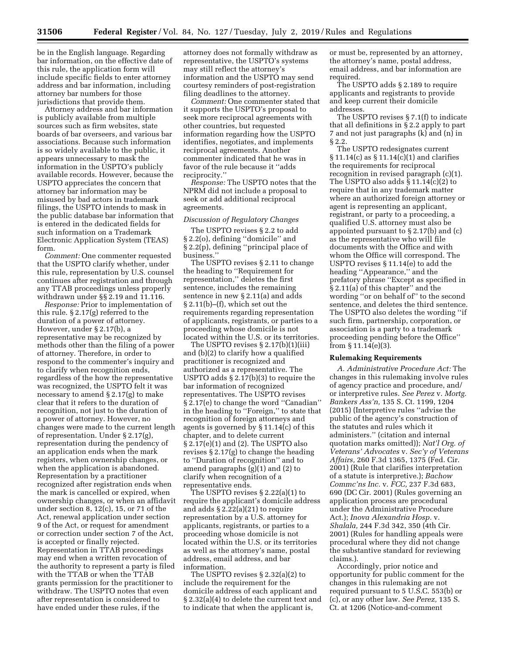be in the English language. Regarding bar information, on the effective date of this rule, the application form will include specific fields to enter attorney address and bar information, including attorney bar numbers for those jurisdictions that provide them.

Attorney address and bar information is publicly available from multiple sources such as firm websites, state boards of bar overseers, and various bar associations. Because such information is so widely available to the public, it appears unnecessary to mask the information in the USPTO's publicly available records. However, because the USPTO appreciates the concern that attorney bar information may be misused by bad actors in trademark filings, the USPTO intends to mask in the public database bar information that is entered in the dedicated fields for such information on a Trademark Electronic Application System (TEAS) form.

*Comment:* One commenter requested that the USPTO clarify whether, under this rule, representation by U.S. counsel continues after registration and through any TTAB proceedings unless properly withdrawn under §§ 2.19 and 11.116.

*Response:* Prior to implementation of this rule. § 2.17(g) referred to the duration of a power of attorney. However, under § 2.17(b), a representative may be recognized by methods other than the filing of a power of attorney. Therefore, in order to respond to the commenter's inquiry and to clarify when recognition ends, regardless of the how the representative was recognized, the USPTO felt it was necessary to amend § 2.17(g) to make clear that it refers to the duration of recognition, not just to the duration of a power of attorney. However, no changes were made to the current length of representation. Under § 2.17(g), representation during the pendency of an application ends when the mark registers, when ownership changes, or when the application is abandoned. Representation by a practitioner recognized after registration ends when the mark is cancelled or expired, when ownership changes, or when an affidavit under section 8, 12(c), 15, or 71 of the Act, renewal application under section 9 of the Act, or request for amendment or correction under section 7 of the Act, is accepted or finally rejected. Representation in TTAB proceedings may end when a written revocation of the authority to represent a party is filed with the TTAB or when the TTAB grants permission for the practitioner to withdraw. The USPTO notes that even after representation is considered to have ended under these rules, if the

attorney does not formally withdraw as representative, the USPTO's systems may still reflect the attorney's information and the USPTO may send courtesy reminders of post-registration filing deadlines to the attorney.

*Comment:* One commenter stated that it supports the USPTO's proposal to seek more reciprocal agreements with other countries, but requested information regarding how the USPTO identifies, negotiates, and implements reciprocal agreements. Another commenter indicated that he was in favor of the rule because it ''adds reciprocity.''

*Response:* The USPTO notes that the NPRM did not include a proposal to seek or add additional reciprocal agreements.

## *Discussion of Regulatory Changes*

The USPTO revises § 2.2 to add § 2.2(o), defining ''domicile'' and § 2.2(p), defining ''principal place of business.''

The USPTO revises § 2.11 to change the heading to ''Requirement for representation,'' deletes the first sentence, includes the remaining sentence in new § 2.11(a) and adds § 2.11(b)–(f), which set out the requirements regarding representation of applicants, registrants, or parties to a proceeding whose domicile is not located within the U.S. or its territories.

The USPTO revises § 2.17(b)(1)(iii) and (b)(2) to clarify how a qualified practitioner is recognized and authorized as a representative. The USPTO adds § 2.17(b)(3) to require the bar information of recognized representatives. The USPTO revises § 2.17(e) to change the word ''Canadian'' in the heading to ''Foreign,'' to state that recognition of foreign attorneys and agents is governed by § 11.14(c) of this chapter, and to delete current § 2.17(e)(1) and (2). The USPTO also revises § 2.17(g) to change the heading to ''Duration of recognition'' and to amend paragraphs (g)(1) and (2) to clarify when recognition of a representative ends.

The USPTO revises § 2.22(a)(1) to require the applicant's domicile address and adds § 2.22(a)(21) to require representation by a U.S. attorney for applicants, registrants, or parties to a proceeding whose domicile is not located within the U.S. or its territories as well as the attorney's name, postal address, email address, and bar information.

The USPTO revises § 2.32(a)(2) to include the requirement for the domicile address of each applicant and § 2.32(a)(4) to delete the current text and to indicate that when the applicant is,

or must be, represented by an attorney, the attorney's name, postal address, email address, and bar information are required.

The USPTO adds § 2.189 to require applicants and registrants to provide and keep current their domicile addresses.

The USPTO revises § 7.1(f) to indicate that all definitions in § 2.2 apply to part 7 and not just paragraphs (k) and (n) in § 2.2.

The USPTO redesignates current § 11.14(c) as § 11.14(c)(1) and clarifies the requirements for reciprocal recognition in revised paragraph (c)(1). The USPTO also adds § 11.14(c)(2) to require that in any trademark matter where an authorized foreign attorney or agent is representing an applicant, registrant, or party to a proceeding, a qualified U.S. attorney must also be appointed pursuant to § 2.17(b) and (c) as the representative who will file documents with the Office and with whom the Office will correspond. The USPTO revises § 11.14(e) to add the heading ''Appearance,'' and the prefatory phrase ''Except as specified in § 2.11(a) of this chapter'' and the wording ''or on behalf of'' to the second sentence, and deletes the third sentence. The USPTO also deletes the wording ''if such firm, partnership, corporation, or association is a party to a trademark proceeding pending before the Office'' from  $§ 11.14(e)(3)$ .

### **Rulemaking Requirements**

*A. Administrative Procedure Act:* The changes in this rulemaking involve rules of agency practice and procedure, and/ or interpretive rules. *See Perez* v. *Mortg. Bankers Ass'n,* 135 S. Ct. 1199, 1204 (2015) (Interpretive rules ''advise the public of the agency's construction of the statutes and rules which it administers.'' (citation and internal quotation marks omitted)); *Nat'l Org. of Veterans' Advocates* v. *Sec'y of Veterans Affairs,* 260 F.3d 1365, 1375 (Fed. Cir. 2001) (Rule that clarifies interpretation of a statute is interpretive.); *Bachow Commc'ns Inc.* v. *FCC,* 237 F.3d 683, 690 (DC Cir. 2001) (Rules governing an application process are procedural under the Administrative Procedure Act.); *Inova Alexandria Hosp.* v. *Shalala,* 244 F.3d 342, 350 (4th Cir. 2001) (Rules for handling appeals were procedural where they did not change the substantive standard for reviewing claims.).

Accordingly, prior notice and opportunity for public comment for the changes in this rulemaking are not required pursuant to 5 U.S.C. 553(b) or (c), or any other law. *See Perez,* 135 S. Ct. at 1206 (Notice-and-comment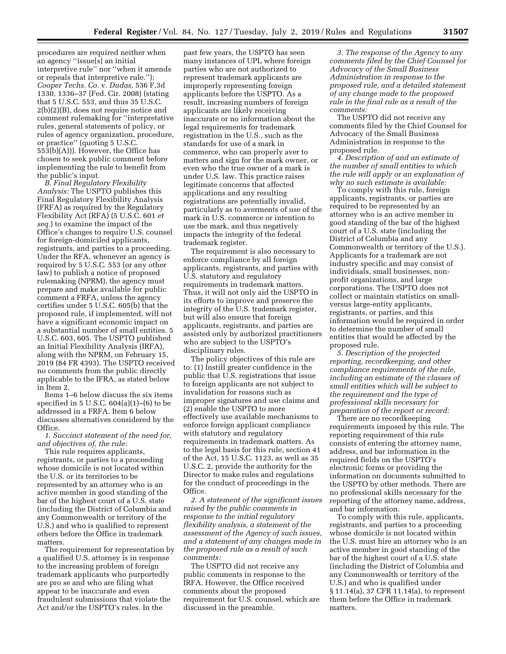procedures are required neither when an agency ''issue[s] an initial interpretive rule'' nor ''when it amends or repeals that interpretive rule.''); *Cooper Techs. Co.* v. *Dudas,* 536 F.3d 1330, 1336–37 (Fed. Cir. 2008) (stating that 5 U.S.C. 553, and thus 35 U.S.C. 2(b)(2)(B), does not require notice and comment rulemaking for ''interpretative rules, general statements of policy, or rules of agency organization, procedure, or practice'' (quoting 5 U.S.C. 553(b)(A))). However, the Office has chosen to seek public comment before implementing the rule to benefit from the public's input.

*B. Final Regulatory Flexibility Analysis:* The USPTO publishes this Final Regulatory Flexibility Analysis (FRFA) as required by the Regulatory Flexibility Act (RFA) (5 U.S.C. 601 *et seq.*) to examine the impact of the Office's changes to require U.S. counsel for foreign-domiciled applicants, registrants, and parties to a proceeding. Under the RFA, whenever an agency is required by 5 U.S.C. 553 (or any other law) to publish a notice of proposed rulemaking (NPRM), the agency must prepare and make available for public comment a FRFA, unless the agency certifies under 5 U.S.C. 605(b) that the proposed rule, if implemented, will not have a significant economic impact on a substantial number of small entities. 5 U.S.C. 603, 605. The USPTO published an Initial Flexibility Analysis (IRFA), along with the NPRM, on February 15, 2019 (84 FR 4393). The USPTO received no comments from the public directly applicable to the IFRA, as stated below in Item 2.

Items 1–6 below discuss the six items specified in  $5$  U.S.C.  $604(a)(1)$ – $(6)$  to be addressed in a FRFA. Item 6 below discusses alternatives considered by the Office.

*1. Succinct statement of the need for, and objectives of, the rule:* 

This rule requires applicants, registrants, or parties to a proceeding whose domicile is not located within the U.S. or its territories to be represented by an attorney who is an active member in good standing of the bar of the highest court of a U.S. state (including the District of Columbia and any Commonwealth or territory of the U.S.) and who is qualified to represent others before the Office in trademark matters.

The requirement for representation by a qualified U.S. attorney is in response to the increasing problem of foreign trademark applicants who purportedly are pro se and who are filing what appear to be inaccurate and even fraudulent submissions that violate the Act and/or the USPTO's rules. In the

past few years, the USPTO has seen many instances of UPL where foreign parties who are not authorized to represent trademark applicants are improperly representing foreign applicants before the USPTO. As a result, increasing numbers of foreign applicants are likely receiving inaccurate or no information about the legal requirements for trademark registration in the U.S., such as the standards for use of a mark in commerce, who can properly aver to matters and sign for the mark owner, or even who the true owner of a mark is under U.S. law. This practice raises legitimate concerns that affected applications and any resulting registrations are potentially invalid, particularly as to averments of use of the mark in U.S. commerce or intention to use the mark, and thus negatively impacts the integrity of the federal trademark register.

The requirement is also necessary to enforce compliance by all foreign applicants, registrants, and parties with U.S. statutory and regulatory requirements in trademark matters. Thus, it will not only aid the USPTO in its efforts to improve and preserve the integrity of the U.S. trademark register, but will also ensure that foreign applicants, registrants, and parties are assisted only by authorized practitioners who are subject to the USPTO's disciplinary rules.

The policy objectives of this rule are to: (1) Instill greater confidence in the public that U.S. registrations that issue to foreign applicants are not subject to invalidation for reasons such as improper signatures and use claims and (2) enable the USPTO to more effectively use available mechanisms to enforce foreign applicant compliance with statutory and regulatory requirements in trademark matters. As to the legal basis for this rule, section 41 of the Act, 15 U.S.C. 1123, as well as 35 U.S.C. 2, provide the authority for the Director to make rules and regulations for the conduct of proceedings in the Office.

*2. A statement of the significant issues raised by the public comments in response to the initial regulatory flexibility analysis, a statement of the assessment of the Agency of such issues, and a statement of any changes made in the proposed rule as a result of such comments:* 

The USPTO did not receive any public comments in response to the IRFA. However, the Office received comments about the proposed requirement for U.S. counsel, which are discussed in the preamble.

*3. The response of the Agency to any comments filed by the Chief Counsel for Advocacy of the Small Business Administration in response to the proposed rule, and a detailed statement of any change made to the proposed rule in the final rule as a result of the comments:* 

The USPTO did not receive any comments filed by the Chief Counsel for Advocacy of the Small Business Administration in response to the proposed rule.

*4. Description of and an estimate of the number of small entities to which the rule will apply or an explanation of why no such estimate is available:* 

To comply with this rule, foreign applicants, registrants, or parties are required to be represented by an attorney who is an active member in good standing of the bar of the highest court of a U.S. state (including the District of Columbia and any Commonwealth or territory of the U.S.). Applicants for a trademark are not industry specific and may consist of individuals, small businesses, nonprofit organizations, and large corporations. The USPTO does not collect or maintain statistics on smallversus large-entity applicants, registrants, or parties, and this information would be required in order to determine the number of small entities that would be affected by the proposed rule.

*5. Description of the projected reporting, recordkeeping, and other compliance requirements of the rule, including an estimate of the classes of small entities which will be subject to the requirement and the type of professional skills necessary for preparation of the report or record:* 

There are no recordkeeping requirements imposed by this rule. The reporting requirement of this rule consists of entering the attorney name, address, and bar information in the required fields on the USPTO's electronic forms or providing the information on documents submitted to the USPTO by other methods. There are no professional skills necessary for the reporting of the attorney name, address, and bar information.

To comply with this rule, applicants, registrants, and parties to a proceeding whose domicile is not located within the U.S. must hire an attorney who is an active member in good standing of the bar of the highest court of a U.S. state (including the District of Columbia and any Commonwealth or territory of the U.S.) and who is qualified under § 11.14(a), 37 CFR 11.14(a), to represent them before the Office in trademark matters.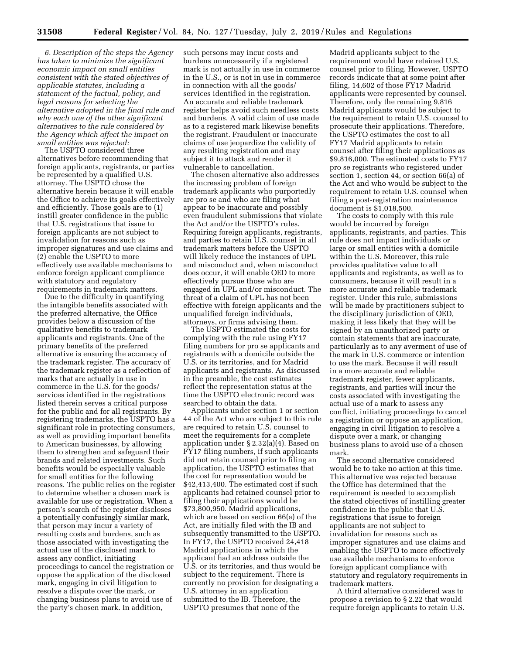*6. Description of the steps the Agency has taken to minimize the significant economic impact on small entities consistent with the stated objectives of applicable statutes, including a statement of the factual, policy, and legal reasons for selecting the alternative adopted in the final rule and why each one of the other significant alternatives to the rule considered by the Agency which affect the impact on small entities was rejected:* 

The USPTO considered three alternatives before recommending that foreign applicants, registrants, or parties be represented by a qualified U.S. attorney. The USPTO chose the alternative herein because it will enable the Office to achieve its goals effectively and efficiently. Those goals are to (1) instill greater confidence in the public that U.S. registrations that issue to foreign applicants are not subject to invalidation for reasons such as improper signatures and use claims and (2) enable the USPTO to more effectively use available mechanisms to enforce foreign applicant compliance with statutory and regulatory requirements in trademark matters.

Due to the difficulty in quantifying the intangible benefits associated with the preferred alternative, the Office provides below a discussion of the qualitative benefits to trademark applicants and registrants. One of the primary benefits of the preferred alternative is ensuring the accuracy of the trademark register. The accuracy of the trademark register as a reflection of marks that are actually in use in commerce in the U.S. for the goods/ services identified in the registrations listed therein serves a critical purpose for the public and for all registrants. By registering trademarks, the USPTO has a significant role in protecting consumers, as well as providing important benefits to American businesses, by allowing them to strengthen and safeguard their brands and related investments. Such benefits would be especially valuable for small entities for the following reasons. The public relies on the register to determine whether a chosen mark is available for use or registration. When a person's search of the register discloses a potentially confusingly similar mark, that person may incur a variety of resulting costs and burdens, such as those associated with investigating the actual use of the disclosed mark to assess any conflict, initiating proceedings to cancel the registration or oppose the application of the disclosed mark, engaging in civil litigation to resolve a dispute over the mark, or changing business plans to avoid use of the party's chosen mark. In addition,

such persons may incur costs and burdens unnecessarily if a registered mark is not actually in use in commerce in the U.S., or is not in use in commerce in connection with all the goods/ services identified in the registration. An accurate and reliable trademark register helps avoid such needless costs and burdens. A valid claim of use made as to a registered mark likewise benefits the registrant. Fraudulent or inaccurate claims of use jeopardize the validity of any resulting registration and may subject it to attack and render it vulnerable to cancellation.

The chosen alternative also addresses the increasing problem of foreign trademark applicants who purportedly are pro se and who are filing what appear to be inaccurate and possibly even fraudulent submissions that violate the Act and/or the USPTO's rules. Requiring foreign applicants, registrants, and parties to retain U.S. counsel in all trademark matters before the USPTO will likely reduce the instances of UPL and misconduct and, when misconduct does occur, it will enable OED to more effectively pursue those who are engaged in UPL and/or misconduct. The threat of a claim of UPL has not been effective with foreign applicants and the unqualified foreign individuals, attorneys, or firms advising them.

The USPTO estimated the costs for complying with the rule using FY17 filing numbers for pro se applicants and registrants with a domicile outside the U.S. or its territories, and for Madrid applicants and registrants. As discussed in the preamble, the cost estimates reflect the representation status at the time the USPTO electronic record was searched to obtain the data.

Applicants under section 1 or section 44 of the Act who are subject to this rule are required to retain U.S. counsel to meet the requirements for a complete application under § 2.32(a)(4). Based on FY17 filing numbers, if such applicants did not retain counsel prior to filing an application, the USPTO estimates that the cost for representation would be \$42,413,400. The estimated cost if such applicants had retained counsel prior to filing their applications would be \$73,800,950. Madrid applications, which are based on section 66(a) of the Act, are initially filed with the IB and subsequently transmitted to the USPTO. In FY17, the USPTO received 24,418 Madrid applications in which the applicant had an address outside the U.S. or its territories, and thus would be subject to the requirement. There is currently no provision for designating a U.S. attorney in an application submitted to the IB. Therefore, the USPTO presumes that none of the

Madrid applicants subject to the requirement would have retained U.S. counsel prior to filing. However, USPTO records indicate that at some point after filing, 14,602 of those FY17 Madrid applicants were represented by counsel. Therefore, only the remaining 9,816 Madrid applicants would be subject to the requirement to retain U.S. counsel to prosecute their applications. Therefore, the USPTO estimates the cost to all FY17 Madrid applicants to retain counsel after filing their applications as \$9,816,000. The estimated costs to FY17 pro se registrants who registered under section 1, section 44, or section 66(a) of the Act and who would be subject to the requirement to retain U.S. counsel when filing a post-registration maintenance document is \$1,018,500.

The costs to comply with this rule would be incurred by foreign applicants, registrants, and parties. This rule does not impact individuals or large or small entities with a domicile within the U.S. Moreover, this rule provides qualitative value to all applicants and registrants, as well as to consumers, because it will result in a more accurate and reliable trademark register. Under this rule, submissions will be made by practitioners subject to the disciplinary jurisdiction of OED, making it less likely that they will be signed by an unauthorized party or contain statements that are inaccurate, particularly as to any averment of use of the mark in U.S. commerce or intention to use the mark. Because it will result in a more accurate and reliable trademark register, fewer applicants, registrants, and parties will incur the costs associated with investigating the actual use of a mark to assess any conflict, initiating proceedings to cancel a registration or oppose an application, engaging in civil litigation to resolve a dispute over a mark, or changing business plans to avoid use of a chosen mark.

The second alternative considered would be to take no action at this time. This alternative was rejected because the Office has determined that the requirement is needed to accomplish the stated objectives of instilling greater confidence in the public that U.S. registrations that issue to foreign applicants are not subject to invalidation for reasons such as improper signatures and use claims and enabling the USPTO to more effectively use available mechanisms to enforce foreign applicant compliance with statutory and regulatory requirements in trademark matters.

A third alternative considered was to propose a revision to § 2.22 that would require foreign applicants to retain U.S.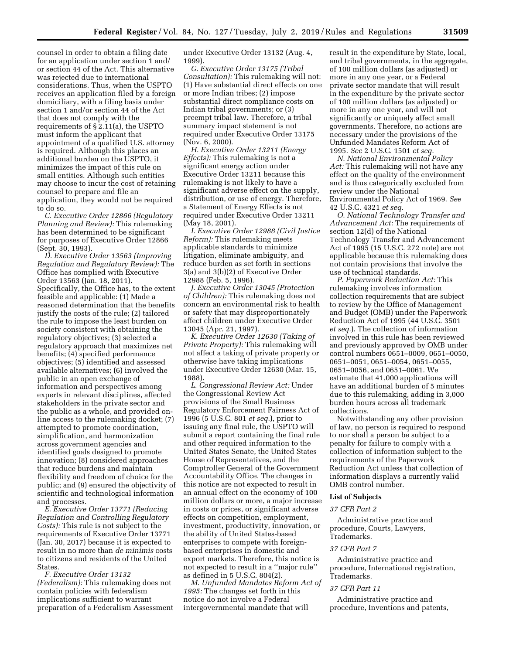counsel in order to obtain a filing date for an application under section 1 and/ or section 44 of the Act. This alternative was rejected due to international considerations. Thus, when the USPTO receives an application filed by a foreign domiciliary, with a filing basis under section 1 and/or section 44 of the Act that does not comply with the requirements of § 2.11(a), the USPTO must inform the applicant that appointment of a qualified U.S. attorney is required. Although this places an additional burden on the USPTO, it minimizes the impact of this rule on small entities. Although such entities may choose to incur the cost of retaining counsel to prepare and file an application, they would not be required to do so.

*C. Executive Order 12866 (Regulatory Planning and Review):* This rulemaking has been determined to be significant for purposes of Executive Order 12866 (Sept. 30, 1993).

*D. Executive Order 13563 (Improving Regulation and Regulatory Review):* The Office has complied with Executive Order 13563 (Jan. 18, 2011). Specifically, the Office has, to the extent feasible and applicable: (1) Made a reasoned determination that the benefits justify the costs of the rule; (2) tailored the rule to impose the least burden on society consistent with obtaining the regulatory objectives; (3) selected a regulatory approach that maximizes net benefits; (4) specified performance objectives; (5) identified and assessed available alternatives; (6) involved the public in an open exchange of information and perspectives among experts in relevant disciplines, affected stakeholders in the private sector and the public as a whole, and provided online access to the rulemaking docket; (7) attempted to promote coordination, simplification, and harmonization across government agencies and identified goals designed to promote innovation; (8) considered approaches that reduce burdens and maintain flexibility and freedom of choice for the public; and (9) ensured the objectivity of scientific and technological information and processes.

*E. Executive Order 13771 (Reducing Regulation and Controlling Regulatory Costs):* This rule is not subject to the requirements of Executive Order 13771 (Jan. 30, 2017) because it is expected to result in no more than *de minimis* costs to citizens and residents of the United States.

*F. Executive Order 13132 (Federalism):* This rulemaking does not contain policies with federalism implications sufficient to warrant preparation of a Federalism Assessment under Executive Order 13132 (Aug. 4, 1999).

*G. Executive Order 13175 (Tribal Consultation):* This rulemaking will not: (1) Have substantial direct effects on one or more Indian tribes; (2) impose substantial direct compliance costs on Indian tribal governments; or (3) preempt tribal law. Therefore, a tribal summary impact statement is not required under Executive Order 13175 (Nov. 6, 2000).

*H. Executive Order 13211 (Energy Effects):* This rulemaking is not a significant energy action under Executive Order 13211 because this rulemaking is not likely to have a significant adverse effect on the supply, distribution, or use of energy. Therefore, a Statement of Energy Effects is not required under Executive Order 13211 (May 18, 2001).

*I. Executive Order 12988 (Civil Justice Reform):* This rulemaking meets applicable standards to minimize litigation, eliminate ambiguity, and reduce burden as set forth in sections 3(a) and 3(b)(2) of Executive Order 12988 (Feb. 5, 1996).

*J. Executive Order 13045 (Protection of Children):* This rulemaking does not concern an environmental risk to health or safety that may disproportionately affect children under Executive Order 13045 (Apr. 21, 1997).

*K. Executive Order 12630 (Taking of Private Property):* This rulemaking will not affect a taking of private property or otherwise have taking implications under Executive Order 12630 (Mar. 15, 1988).

*L. Congressional Review Act:* Under the Congressional Review Act provisions of the Small Business Regulatory Enforcement Fairness Act of 1996 (5 U.S.C. 801 *et seq.*), prior to issuing any final rule, the USPTO will submit a report containing the final rule and other required information to the United States Senate, the United States House of Representatives, and the Comptroller General of the Government Accountability Office. The changes in this notice are not expected to result in an annual effect on the economy of 100 million dollars or more, a major increase in costs or prices, or significant adverse effects on competition, employment, investment, productivity, innovation, or the ability of United States-based enterprises to compete with foreignbased enterprises in domestic and export markets. Therefore, this notice is not expected to result in a ''major rule'' as defined in 5 U.S.C. 804(2).

*M. Unfunded Mandates Reform Act of 1995:* The changes set forth in this notice do not involve a Federal intergovernmental mandate that will

result in the expenditure by State, local, and tribal governments, in the aggregate, of 100 million dollars (as adjusted) or more in any one year, or a Federal private sector mandate that will result in the expenditure by the private sector of 100 million dollars (as adjusted) or more in any one year, and will not significantly or uniquely affect small governments. Therefore, no actions are necessary under the provisions of the Unfunded Mandates Reform Act of 1995. *See* 2 U.S.C. 1501 *et seq.* 

*N. National Environmental Policy Act:* This rulemaking will not have any effect on the quality of the environment and is thus categorically excluded from review under the National Environmental Policy Act of 1969. *See*  42 U.S.C. 4321 *et seq.* 

*O. National Technology Transfer and Advancement Act:* The requirements of section 12(d) of the National Technology Transfer and Advancement Act of 1995 (15 U.S.C. 272 note) are not applicable because this rulemaking does not contain provisions that involve the use of technical standards.

*P. Paperwork Reduction Act:* This rulemaking involves information collection requirements that are subject to review by the Office of Management and Budget (OMB) under the Paperwork Reduction Act of 1995 (44 U.S.C. 3501 *et seq.*). The collection of information involved in this rule has been reviewed and previously approved by OMB under control numbers 0651–0009, 0651–0050, 0651–0051, 0651–0054, 0651–0055, 0651–0056, and 0651–0061. We estimate that 41,000 applications will have an additional burden of 5 minutes due to this rulemaking, adding in 3,000 burden hours across all trademark collections.

Notwithstanding any other provision of law, no person is required to respond to nor shall a person be subject to a penalty for failure to comply with a collection of information subject to the requirements of the Paperwork Reduction Act unless that collection of information displays a currently valid OMB control number.

#### **List of Subjects**

#### *37 CFR Part 2*

Administrative practice and procedure, Courts, Lawyers, Trademarks.

#### *37 CFR Part 7*

Administrative practice and procedure, International registration, Trademarks.

#### *37 CFR Part 11*

Administrative practice and procedure, Inventions and patents,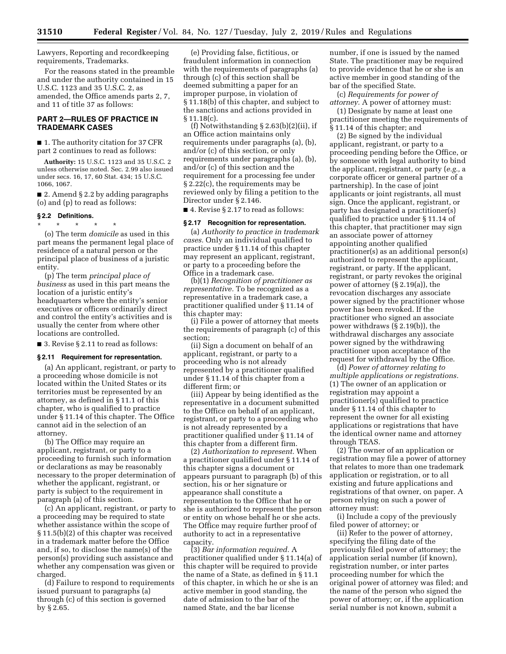Lawyers, Reporting and recordkeeping requirements, Trademarks.

For the reasons stated in the preamble and under the authority contained in 15 U.S.C. 1123 and 35 U.S.C. 2, as amended, the Office amends parts 2, 7, and 11 of title 37 as follows:

# **PART 2—RULES OF PRACTICE IN TRADEMARK CASES**

■ 1. The authority citation for 37 CFR part 2 continues to read as follows:

**Authority:** 15 U.S.C. 1123 and 35 U.S.C. 2 unless otherwise noted. Sec. 2.99 also issued under secs. 16, 17, 60 Stat. 434; 15 U.S.C. 1066, 1067.

■ 2. Amend § 2.2 by adding paragraphs (o) and (p) to read as follows:

### **§ 2.2 Definitions.**

\* \* \* \* \*

(o) The term *domicile* as used in this part means the permanent legal place of residence of a natural person or the principal place of business of a juristic entity.

(p) The term *principal place of business* as used in this part means the location of a juristic entity's headquarters where the entity's senior executives or officers ordinarily direct and control the entity's activities and is usually the center from where other locations are controlled.

■ 3. Revise § 2.11 to read as follows:

### **§ 2.11 Requirement for representation.**

(a) An applicant, registrant, or party to a proceeding whose domicile is not located within the United States or its territories must be represented by an attorney, as defined in § 11.1 of this chapter, who is qualified to practice under § 11.14 of this chapter. The Office cannot aid in the selection of an attorney.

(b) The Office may require an applicant, registrant, or party to a proceeding to furnish such information or declarations as may be reasonably necessary to the proper determination of whether the applicant, registrant, or party is subject to the requirement in paragraph (a) of this section.

(c) An applicant, registrant, or party to a proceeding may be required to state whether assistance within the scope of § 11.5(b)(2) of this chapter was received in a trademark matter before the Office and, if so, to disclose the name(s) of the person(s) providing such assistance and whether any compensation was given or charged.

(d) Failure to respond to requirements issued pursuant to paragraphs (a) through (c) of this section is governed by § 2.65.

(e) Providing false, fictitious, or fraudulent information in connection with the requirements of paragraphs (a) through (c) of this section shall be deemed submitting a paper for an improper purpose, in violation of § 11.18(b) of this chapter, and subject to the sanctions and actions provided in § 11.18(c).

(f) Notwithstanding  $\S 2.63(b)(2)(ii)$ , if an Office action maintains only requirements under paragraphs (a), (b), and/or (c) of this section, or only requirements under paragraphs (a), (b), and/or (c) of this section and the requirement for a processing fee under § 2.22(c), the requirements may be reviewed only by filing a petition to the Director under § 2.146.

■ 4. Revise § 2.17 to read as follows:

### **§ 2.17 Recognition for representation.**

(a) *Authority to practice in trademark cases.* Only an individual qualified to practice under § 11.14 of this chapter may represent an applicant, registrant, or party to a proceeding before the Office in a trademark case.

(b)(1) *Recognition of practitioner as representative.* To be recognized as a representative in a trademark case, a practitioner qualified under § 11.14 of this chapter may:

(i) File a power of attorney that meets the requirements of paragraph (c) of this section;

(ii) Sign a document on behalf of an applicant, registrant, or party to a proceeding who is not already represented by a practitioner qualified under § 11.14 of this chapter from a different firm; or

(iii) Appear by being identified as the representative in a document submitted to the Office on behalf of an applicant, registrant, or party to a proceeding who is not already represented by a practitioner qualified under § 11.14 of this chapter from a different firm.

(2) *Authorization to represent.* When a practitioner qualified under § 11.14 of this chapter signs a document or appears pursuant to paragraph (b) of this section, his or her signature or appearance shall constitute a representation to the Office that he or she is authorized to represent the person or entity on whose behalf he or she acts. The Office may require further proof of authority to act in a representative capacity.

(3) *Bar information required.* A practitioner qualified under § 11.14(a) of this chapter will be required to provide the name of a State, as defined in § 11.1 of this chapter, in which he or she is an active member in good standing, the date of admission to the bar of the named State, and the bar license

number, if one is issued by the named State. The practitioner may be required to provide evidence that he or she is an active member in good standing of the bar of the specified State.

(c) *Requirements for power of attorney.* A power of attorney must:

(1) Designate by name at least one practitioner meeting the requirements of § 11.14 of this chapter; and

(2) Be signed by the individual applicant, registrant, or party to a proceeding pending before the Office, or by someone with legal authority to bind the applicant, registrant, or party (*e.g.,* a corporate officer or general partner of a partnership). In the case of joint applicants or joint registrants, all must sign. Once the applicant, registrant, or party has designated a practitioner(s) qualified to practice under § 11.14 of this chapter, that practitioner may sign an associate power of attorney appointing another qualified practitioner(s) as an additional person(s) authorized to represent the applicant, registrant, or party. If the applicant, registrant, or party revokes the original power of attorney (§ 2.19(a)), the revocation discharges any associate power signed by the practitioner whose power has been revoked. If the practitioner who signed an associate power withdraws (§ 2.19(b)), the withdrawal discharges any associate power signed by the withdrawing practitioner upon acceptance of the request for withdrawal by the Office.

(d) *Power of attorney relating to multiple applications or registrations.*  (1) The owner of an application or registration may appoint a practitioner(s) qualified to practice under § 11.14 of this chapter to represent the owner for all existing applications or registrations that have the identical owner name and attorney through TEAS.

(2) The owner of an application or registration may file a power of attorney that relates to more than one trademark application or registration, or to all existing and future applications and registrations of that owner, on paper. A person relying on such a power of attorney must:

(i) Include a copy of the previously filed power of attorney; or

(ii) Refer to the power of attorney, specifying the filing date of the previously filed power of attorney; the application serial number (if known), registration number, or inter partes proceeding number for which the original power of attorney was filed; and the name of the person who signed the power of attorney; or, if the application serial number is not known, submit a